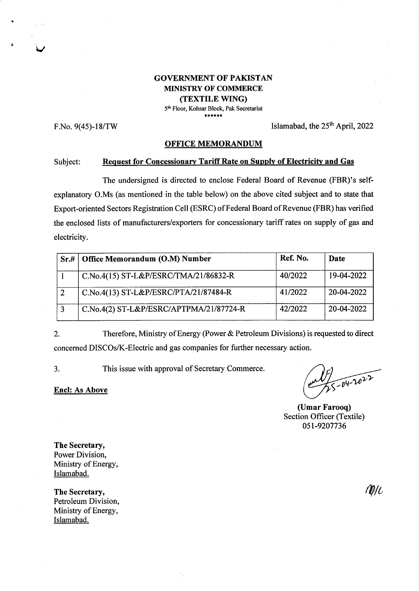## GOVERNMENT OF PAKISTAN MINISTRY OF COMMERCE (TEXTILE WING)

5<sup>th</sup> Floor, Kohsar Block, Pak Secretariat

.<br>من

F.No.  $9(45)$ -18/TW Islamabad, the  $25<sup>th</sup>$  April, 2022

#### OFFICE MEMORANDUM

#### Subject: Request for Concessionary Tariff Rate on Supply of Electricity and Gas

The undersigned is directed to enclose Federal Board of Revenue (FBR)'s selfexplanatory O.Ms (as mentioned in the table below) on the above cited subject and to state that Export-oriented Sectors Registration Cell (ESRC) of Federal Board of Revenue (FBR) has verified the enclosed lists of manufacturers/exporters for concessionary tariff rates on supply of gas and electricity.

| Sr.# | Office Memorandum (O.M) Number          | Ref. No. | Date       |
|------|-----------------------------------------|----------|------------|
|      | C.No.4(15) ST-L&P/ESRC/TMA/21/86832-R   | 40/2022  | 19-04-2022 |
|      | C.No.4(13) ST-L&P/ESRC/PTA/21/87484-R   | 41/2022  | 20-04-2022 |
|      | C.No.4(2) ST-L&P/ESRC/APTPMA/21/87724-R | 42/2022  | 20-04-2022 |

2. Therefore, Ministry of Energy (Power & Petroleum Divisions) is requested to direct concerned DISCOs/K-Electric and gas companies for funher necessary action.

This issue with approval of Secretary Commerce a J

Encl: As Above

 $\sqrt{04.2022}$ 

(Umar Farooq) Section Officer (Textile) 05r-9207736

The Secretary, Power Division, Ministry of Energy, Islamabad.

The Secretary, Petroleum Division, Ministry of Energy, Islamabad.

MU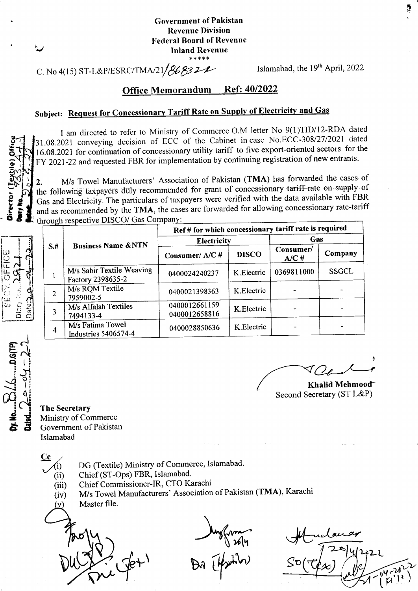## Government of Pakistan Revenue Division Federal Board of Revenue Inland Revenue \*\*\*\*r(

# C. No 4(15) ST-L&P/ESRC/TMA/21/8632 L- $\ell$  Islamabad, the 19<sup>th</sup> April, 2022

r\$l.:

## Office Memorandum Ref: 40/2022

# Subject: Request for Concessionary Tariff Rate on Supply of Electricity and Gas

I am directed to refer to Ministry of Commerce O.M letter No 9(1)TID/I2-RDA dated 31.0g.2021 conveying decision of ECC of the Cabinet incase No.ECC-30812712021 dated 16.08.2021 for continuation of concessionary utility tariff to five export-oriented sectors for the FY 2021-22 and requested FBR for implementation by continuing registration of new entrants.

2. M/s Towel Manufacturers' Association of Pakistan (TMA) has forwarded the cases of the following taxpayers duly recommended for grant of concessionary tariff rate on supply of Gas and Electricity. The particulars of taxpayers were verified with the data available with FBR and as recommended by the TMA, the cases are forwarded for allowing concessionary rate-tariff through respective DISCO/ Gas Company:

|      | <b>Business Name &amp;NTN</b>                  | Ref # for which concessionary tariff rate is required |              |                      |              |  |
|------|------------------------------------------------|-------------------------------------------------------|--------------|----------------------|--------------|--|
| $S+$ |                                                | <b>Electricity</b>                                    |              | Gas                  |              |  |
|      |                                                | Consumer/A/C#                                         | <b>DISCO</b> | Consumer/<br>$A/C$ # | Company      |  |
|      | M/s Sabir Textile Weaving<br>Factory 2398635-2 | 0400024240237                                         | K.Electric   | 0369811000           | <b>SSGCL</b> |  |
| 2    | M/s RQM Textile<br>7959002-5                   | 0400021398363                                         | K.Electric   |                      |              |  |
|      | M/s Alfalah Textiles<br>7494133-4              | 0400012661159<br>0400012658816                        | K.Electric   |                      |              |  |
| 4    | M/s Fatima Towel<br>Industries 5406574-4       | 0400028850636                                         | K.Electric   |                      |              |  |

17  $\sqrt{}/\sqrt{2}$ 

Khalid Mehmood Second Secretary (ST L&P)

The Secretary Ministry of Commerce Govemment of Pakistan Islamabad

Cc

- DG (Textile) Ministry of Commerce, Islamabad.
- (i)<br>(ii) Chief (ST-Ops) FBR, Islamabad.
- (iii) Chief Commissioner-IR, CTO Karachi
- (iv) M/s Towel Manufacturers' Association of Pakistan (TMA), Karachi
- Master file.

**Jet** 

 $\frac{1}{2}$ <br>and  $\frac{1}{2}$  Bi (photo) So

 $222$ 0 t

:  $\overline{\Omega}$  . tLft  $\frac{1}{2}\Delta$  $\mathcal{L}$  $\bar{c}$ õ (l)  $\tilde{\tilde{\Omega}}$ 

<u>ወ</u><br>=  $\infty$  $\vec{e}$ 

o v g ã F **dair** 

 $\widehat{\mathbb{E}}$   $\widehat{\phantom{1}}$  $\begin{array}{c} \frac{1}{2} \ \frac{1}{2} \end{array}$  $\sum_{i=1}^N \sum_{j=1}^N$  $\alpha$ i $\sim$ ا<br>است**وبلا**<br>من a<br>E 2

v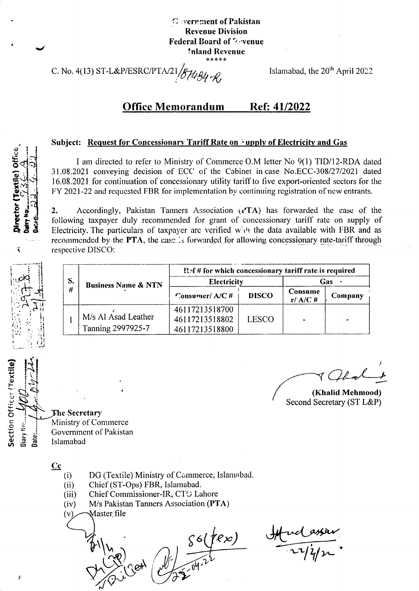**Covernment of Pakistan Revenue Division Federal Board of Zevenue** Inland Revenue \*\*\*\*\*

C. No. 4(13) ST-L&P/ESRC/PTA/21 BH184 R

Islamabad, the 20<sup>th</sup> April 2022

#### **Office Memorandum** Ref: 41/2022

### Subject: Request for Concessionary Tariff Rate on Fupply of Electricity and Gas

I am directed to refer to Ministry of Commerce O.M letter No 9(1) TID/12-RDA dated 31.08.2021 conveying decision of ECC of the Cabinet in case No.ECC-308/27/2021 dated 16.08.2021 for continuation of concessionary utility tariff to five export-oriented sectors for the FY 2021-22 and requested FBR for implementation by continuing registration of new entrants.

Accordingly, Pakistan Tanners Association (PTA) has forwarded the case of the  $2.$ following taxpayer duly recommended for grant of concessionary tariff rate on supply of Electricity. The particulars of taxpayer are verified with the data available with FBR and as recommended by the PTA, the case is forwarded for allowing concessionary rate-tariff through respective DISCO:

| S.<br># | <b>Business Name &amp; NTN</b>           | Ref # for which concessionary tariff rate is required |              |                              |         |
|---------|------------------------------------------|-------------------------------------------------------|--------------|------------------------------|---------|
|         |                                          | <b>Electricity</b>                                    |              | Gas                          |         |
|         |                                          | Consumer/A/C#                                         | <b>DISCO</b> | <b>Consume</b><br>$r/$ A/C # | Company |
|         | M/s Al Asad Leather<br>Tanning 2997925-7 | 46117213518700<br>46117213518802<br>46117213518800    | <b>LESCO</b> |                              |         |

(Khalid Mehmood) Second Secretary (ST L&P)

**The Secretary** Ministry of Commerce Government of Pakistan Islamabad

- $Cc$ 
	- DG (Textile) Ministry of Commerce, Islamabad.  $(i)$
	- Chief (ST-Ops) FBR, Islamabad.  $(ii)$
	- Chief Commissioner-IR, CTO Lahore  $(iii)$
	- $(iv)$ M/s Pakistan Tanners Association (PTA)
	- Master\_file  $(v)$

 $\delta(fex)$ 

 $\frac{1}{\sqrt{1-\frac{1}{1-\frac{1}{1-\frac{1}{1-\frac{1}{1-\frac{1}{1-\frac{1}{1-\frac{1}{1-\frac{1}{1-\frac{1}{1-\frac{1}{1-\frac{1}{1-\frac{1}{1-\frac{1}{1-\frac{1}{1-\frac{1}{1-\frac{1}{1-\frac{1}{1-\frac{1}{1-\frac{1}{1-\frac{1}{1-\frac{1}{1-\frac{1}{1-\frac{1}{1-\frac{1}{1-\frac{1}{1-\frac{1}{1-\frac{1}{1-\frac{1}{1-\frac{1}{1-\frac{1}{1-\frac{1}{1-\frac{1}{1-\frac{1}{1-\frac{1}{1-\frac{1}{1-\$ 



 $\hat{\mathbf{A}}$ 

Section Officer (Textile)

Diary No:

Date:.